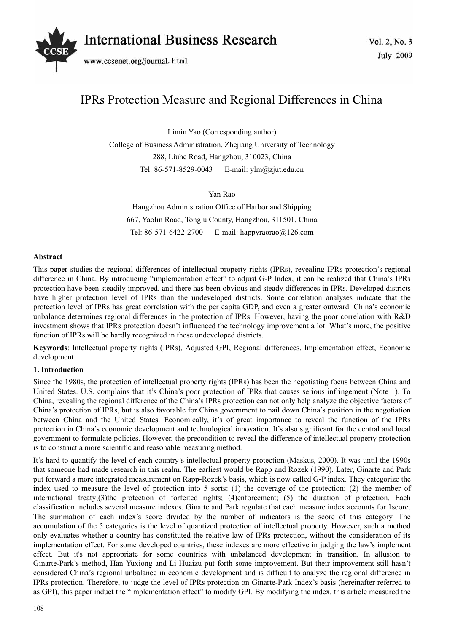

# IPRs Protection Measure and Regional Differences in China

Limin Yao (Corresponding author) College of Business Administration, Zhejiang University of Technology 288, Liuhe Road, Hangzhou, 310023, China Tel: 86-571-8529-0043 E-mail: ylm@zjut.edu.cn

Yan Rao Hangzhou Administration Office of Harbor and Shipping 667, Yaolin Road, Tonglu County, Hangzhou, 311501, China Tel: 86-571-6422-2700 E-mail: happyraorao@126.com

## **Abstract**

This paper studies the regional differences of intellectual property rights (IPRs), revealing IPRs protection's regional difference in China. By introducing "implementation effect" to adjust G-P Index, it can be realized that China's IPRs protection have been steadily improved, and there has been obvious and steady differences in IPRs. Developed districts have higher protection level of IPRs than the undeveloped districts. Some correlation analyses indicate that the protection level of IPRs has great correlation with the per capita GDP, and even a greater outward. China's economic unbalance determines regional differences in the protection of IPRs. However, having the poor correlation with R&D investment shows that IPRs protection doesn't influenced the technology improvement a lot. What's more, the positive function of IPRs will be hardly recognized in these undeveloped districts.

**Keywords**: Intellectual property rights (IPRs), Adjusted GPI, Regional differences, Implementation effect, Economic development

## **1. Introduction**

Since the 1980s, the protection of intellectual property rights (IPRs) has been the negotiating focus between China and United States. U.S. complains that it's China's poor protection of IPRs that causes serious infringement (Note 1). To China, revealing the regional difference of the China's IPRs protection can not only help analyze the objective factors of China's protection of IPRs, but is also favorable for China government to nail down China's position in the negotiation between China and the United States. Economically, it's of great importance to reveal the function of the IPRs protection in China's economic development and technological innovation. It's also significant for the central and local government to formulate policies. However, the precondition to reveal the difference of intellectual property protection is to construct a more scientific and reasonable measuring method.

It's hard to quantify the level of each country's intellectual property protection (Maskus, 2000). It was until the 1990s that someone had made research in this realm. The earliest would be Rapp and Rozek (1990). Later, Ginarte and Park put forward a more integrated measurement on Rapp-Rozek's basis, which is now called G-P index. They categorize the index used to measure the level of protection into 5 sorts: (1) the coverage of the protection; (2) the member of international treaty;(3)the protection of forfeited rights; (4)enforcement; (5) the duration of protection. Each classification includes several measure indexes. Ginarte and Park regulate that each measure index accounts for 1score. The summation of each index's score divided by the number of indicators is the score of this category. The accumulation of the 5 categories is the level of quantized protection of intellectual property. However, such a method only evaluates whether a country has constituted the relative law of IPRs protection, without the consideration of its implementation effect. For some developed countries, these indexes are more effective in judging the law's implement effect. But it's not appropriate for some countries with unbalanced development in transition. In allusion to Ginarte-Park's method, Han Yuxiong and Li Huaizu put forth some improvement. But their improvement still hasn't considered China's regional unbalance in economic development and is difficult to analyze the regional difference in IPRs protection. Therefore, to judge the level of IPRs protection on Ginarte-Park Index's basis (hereinafter referred to as GPI), this paper induct the "implementation effect" to modify GPI. By modifying the index, this article measured the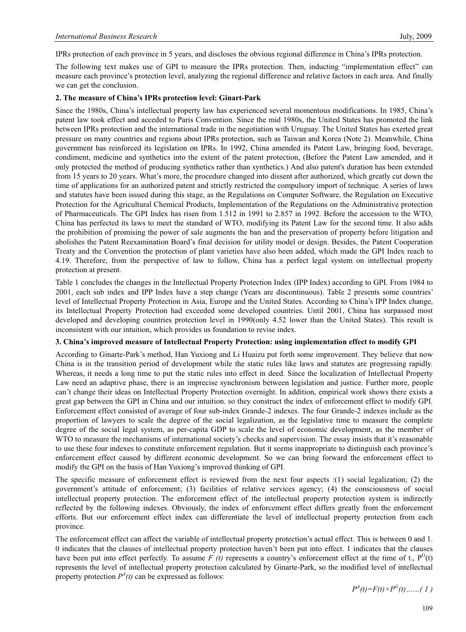IPRs protection of each province in 5 years, and discloses the obvious regional difference in China's IPRs protection.

The following text makes use of GPI to measure the IPRs protection. Then, inducting "implementation effect" can measure each province's protection level, analyzing the regional difference and relative factors in each area. And finally we can get the conclusion.

# **2. The measure of China's IPRs protection level: Ginart-Park**

Since the 1980s, China's intellectual property law has experienced several momentous modifications. In 1985, China's patent law took effect and acceded to Paris Convention. Since the mid 1980s, the United States has promoted the link between IPRs protection and the international trade in the negotiation with Uruguay. The United States has exerted great pressure on many countries and regions about IPRs protection, such as Taiwan and Korea (Note 2). Meanwhile, China government has reinforced its legislation on IPRs. In 1992, China amended its Patent Law, bringing food, beverage, condiment, medicine and synthetics into the extent of the patent protection, (Before the Patent Law amended, and it only protected the method of producing synthetics rather than synthetics.) And also patent's duration has been extended from 15 years to 20 years. What's more, the procedure changed into dissent after authorized, which greatly cut down the time of applications for an authorized patent and strictly restricted the compulsory import of technique. A series of laws and statutes have been issued during this stage, as the Regulations on Computer Software, the Regulation on Executive Protection for the Agricultural Chemical Products, Implementation of the Regulations on the Administrative protection of Pharmaceuticals. The GPI Index has risen from 1.512 in 1991 to 2.857 in 1992. Before the accession to the WTO, China has perfected its laws to meet the standard of WTO, modifying its Patent Law for the second time. It also adds the prohibition of promising the power of sale augments the ban and the preservation of property before litigation and abolishes the Patent Reexamination Board's final decision for utility model or design. Besides, the Patent Cooperation Treaty and the Convention the protection of plant varieties have also been added, which made the GPI Index reach to 4.19. Therefore, from the perspective of law to follow, China has a perfect legal system on intellectual property protection at present.

Table 1 concludes the changes in the Intellectual Property Protection Index (IPP Index) according to GPI. From 1984 to 2001, each sub index and IPP Index have a step change (Years are discontinuous). Table 2 presents some countries' level of Intellectual Property Protection in Asia, Europe and the United States. According to China's IPP Index change, its Intellectual Property Protection had exceeded some developed countries. Until 2001, China has surpassed most developed and developing countries protection level in 1990(only 4.52 lower than the United States). This result is inconsistent with our intuition, which provides us foundation to revise index.

## **3. China's improved measure of Intellectual Property Protection: using implementation effect to modify GPI**

According to Ginarte-Park's method, Han Yuxiong and Li Huaizu put forth some improvement. They believe that now China is in the transition period of development while the static rules like laws and statutes are progressing rapidly. Whereas, it needs a long time to put the static rules into effect in deed. Since the localization of Intellectual Property Law need an adaptive phase, there is an imprecise synchronism between legislation and justice. Further more, people can't change their ideas on Intellectual Property Protection overnight. In addition, empirical work shows there exists a great gap between the GPI in China and our intuition. so they construct the index of enforcement effect to modify GPI. Enforcement effect consisted of average of four sub-index Grande-2 indexes. The four Grande-2 indexes include as the proportion of lawyers to scale the degree of the social legalization, as the legislative time to measure the complete degree of the social legal system, as per-capita GDP to scale the level of economic development, as the member of WTO to measure the mechanisms of international society's checks and supervision. The essay insists that it's reasonable to use these four indexes to constitute enforcement regulation. But it seems inappropriate to distinguish each province's enforcement effect caused by different economic development. So we can bring forward the enforcement effect to modify the GPI on the basis of Han Yuxiong's improved thinking of GPI.

The specific measure of enforcement effect is reviewed from the next four aspects :(1) social legalization; (2) the government's attitude of enforcement; (3) facilities of relative services agency; (4) the consciousness of social intellectual property protection. The enforcement effect of the intellectual property protection system is indirectly reflected by the following indexes. Obviously, the index of enforcement effect differs greatly from the enforcement efforts. But our enforcement effect index can differentiate the level of intellectual property protection from each province.

The enforcement effect can affect the variable of intellectual property protection's actual effect. This is between 0 and 1. 0 indicates that the clauses of intellectual property protection haven't been put into effect. 1 indicates that the clauses have been put into effect perfectly. To assume  $F(t)$  represents a country's enforcement effect at the time of t.,  $P^{G}(t)$ represents the level of intellectual property protection calculated by Ginarte-Park, so the modified level of intellectual property protection  $P^4(t)$  can be expressed as follows:

$$
P^4(t)=F(t)\times P^G(t)\dots(1)
$$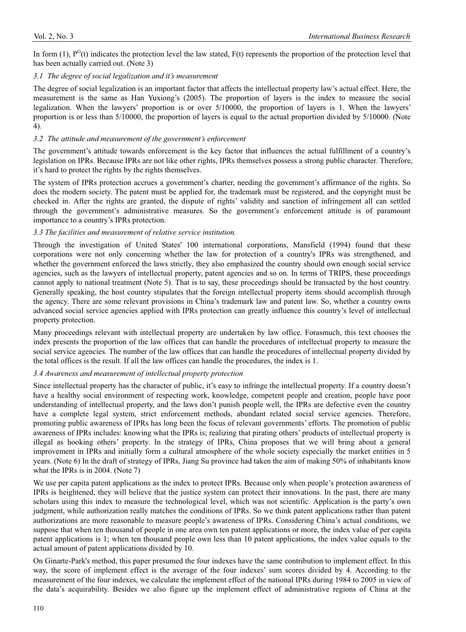In form (1),  $P^{G}(t)$  indicates the protection level the law stated,  $F(t)$  represents the proportion of the protection level that has been actually carried out. (Note 3)

# *3.1 The degree of social legalization and it's measurement*

The degree of social legalization is an important factor that affects the intellectual property law's actual effect. Here, the measurement is the same as Han Yuxiong's (2005). The proportion of layers is the index to measure the social legalization. When the lawyers' proportion is or over 5/10000, the proportion of layers is 1. When the lawyers' proportion is or less than 5/10000, the proportion of layers is equal to the actual proportion divided by 5/10000. (Note 4).

# *3.2 The attitude and measurement of the government's enforcement*

The government's attitude towards enforcement is the key factor that influences the actual fulfillment of a country's legislation on IPRs. Because IPRs are not like other rights, IPRs themselves possess a strong public character. Therefore, it's hard to protect the rights by the rights themselves.

The system of IPRs protection accrues a government's charter, needing the government's affirmance of the rights. So does the modern society. The patent must be applied for, the trademark must be registered, and the copyright must be checked in. After the rights are granted, the dispute of rights' validity and sanction of infringement all can settled through the government's administrative measures. So the government's enforcement attitude is of paramount importance to a country's IPRs protection.

# *3.3 The facilities and measurement of relative service institution.*

Through the investigation of United States' 100 international corporations, Mansfield (1994) found that these corporations were not only concerning whether the law for protection of a country's IPRs was strengthened, and whether the government enforced the laws strictly, they also emphasized the country should own enough social service agencies, such as the lawyers of intellectual property, patent agencies and so on. In terms of TRIPS, these proceedings cannot apply to national treatment (Note 5). That is to say, these proceedings should be transacted by the host country. Generally speaking, the host country stipulates that the foreign intellectual property items should accomplish through the agency. There are some relevant provisions in China's trademark law and patent law. So, whether a country owns advanced social service agencies applied with IPRs protection can greatly influence this country's level of intellectual property protection.

Many proceedings relevant with intellectual property are undertaken by law office. Forasmuch, this text chooses the index presents the proportion of the law offices that can handle the procedures of intellectual property to measure the social service agencies. The number of the law offices that can handle the procedures of intellectual property divided by the total offices is the result. If all the law offices can handle the procedures, the index is 1.

# *3.4 Awareness and measurement of intellectual property protection*

Since intellectual property has the character of public, it's easy to infringe the intellectual property. If a country doesn't have a healthy social environment of respecting work, knowledge, competent people and creation, people have poor understanding of intellectual property, and the laws don't punish people well, the IPRs are defective even the country have a complete legal system, strict enforcement methods, abundant related social service agencies. Therefore, promoting public awareness of IPRs has long been the focus of relevant governments' efforts. The promotion of public awareness of IPRs includes: knowing what the IPRs is; realizing that pirating others' products of intellectual property is illegal as hooking others' property. In the strategy of IPRs, China proposes that we will bring about a general improvement in IPRs and initially form a cultural atmosphere of the whole society especially the market entities in 5 years. (Note 6) In the draft of strategy of IPRs, Jiang Su province had taken the aim of making 50% of inhabitants know what the IPRs is in 2004. (Note 7)

We use per capita patent applications as the index to protect IPRs. Because only when people's protection awareness of IPRs is heightened, they will believe that the justice system can protect their innovations. In the past, there are many scholars using this index to measure the technological level, which was not scientific. Application is the party's own judgment, while authorization really matches the conditions of IPRs. So we think patent applications rather than patent authorizations are more reasonable to measure people's awareness of IPRs. Considering China's actual conditions, we suppose that when ten thousand of people in one area own ten patent applications or more, the index value of per capita patent applications is 1; when ten thousand people own less than 10 patent applications, the index value equals to the actual amount of patent applications divided by 10.

On Ginarte-Park's method, this paper presumed the four indexes have the same contribution to implement effect. In this way, the score of implement effect is the average of the four indexes' sum scores divided by 4. According to the measurement of the four indexes, we calculate the implement effect of the national IPRs during 1984 to 2005 in view of the data's acquirability. Besides we also figure up the implement effect of administrative regions of China at the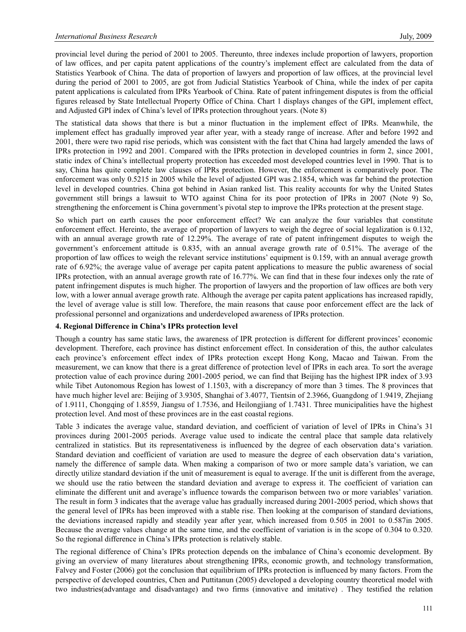provincial level during the period of 2001 to 2005. Thereunto, three indexes include proportion of lawyers, proportion of law offices, and per capita patent applications of the country's implement effect are calculated from the data of Statistics Yearbook of China. The data of proportion of lawyers and proportion of law offices, at the provincial level during the period of 2001 to 2005, are got from Judicial Statistics Yearbook of China, while the index of per capita patent applications is calculated from IPRs Yearbook of China. Rate of patent infringement disputes is from the official figures released by State Intellectual Property Office of China. Chart 1 displays changes of the GPI, implement effect, and Adjusted GPI index of China's level of IPRs protection throughout years. (Note 8)

The statistical data shows that there is but a minor fluctuation in the implement effect of IPRs. Meanwhile, the implement effect has gradually improved year after year, with a steady range of increase. After and before 1992 and 2001, there were two rapid rise periods, which was consistent with the fact that China had largely amended the laws of IPRs protection in 1992 and 2001. Compared with the IPRs protection in developed countries in form 2, since 2001, static index of China's intellectual property protection has exceeded most developed countries level in 1990. That is to say, China has quite complete law clauses of IPRs protection. However, the enforcement is comparatively poor. The enforcement was only 0.5215 in 2005 while the level of adjusted GPI was 2.1854, which was far behind the protection level in developed countries. China got behind in Asian ranked list. This reality accounts for why the United States government still brings a lawsuit to WTO against China for its poor protection of IPRs in 2007 (Note 9) So, strengthening the enforcement is China government's pivotal step to improve the IPRs protection at the present stage.

So which part on earth causes the poor enforcement effect? We can analyze the four variables that constitute enforcement effect. Hereinto, the average of proportion of lawyers to weigh the degree of social legalization is 0.132, with an annual average growth rate of 12.29%. The average of rate of patent infringement disputes to weigh the government's enforcement attitude is 0.835, with an annual average growth rate of 0.51%. The average of the proportion of law offices to weigh the relevant service institutions' equipment is 0.159, with an annual average growth rate of 6.92%; the average value of average per capita patent applications to measure the public awareness of social IPRs protection, with an annual average growth rate of 16.77%. We can find that in these four indexes only the rate of patent infringement disputes is much higher. The proportion of lawyers and the proportion of law offices are both very low, with a lower annual average growth rate. Although the average per capita patent applications has increased rapidly, the level of average value is still low. Therefore, the main reasons that cause poor enforcement effect are the lack of professional personnel and organizations and underdeveloped awareness of IPRs protection.

## **4. Regional Difference in China's IPRs protection level**

Though a country has same static laws, the awareness of IPR protection is different for different provinces' economic development. Therefore, each province has distinct enforcement effect. In consideration of this, the author calculates each province's enforcement effect index of IPRs protection except Hong Kong, Macao and Taiwan. From the measurement, we can know that there is a great difference of protection level of IPRs in each area. To sort the average protection value of each province during 2001-2005 period, we can find that Beijing has the highest IPR index of 3.93 while Tibet Autonomous Region has lowest of 1.1503, with a discrepancy of more than 3 times. The 8 provinces that have much higher level are: Beijing of 3.9305, Shanghai of 3.4077, Tientsin of 2.3966, Guangdong of 1.9419, Zhejiang of 1.9111, Chongqing of 1.8559, Jiangsu of 1.7536, and Heilongjiang of 1.7431. Three municipalities have the highest protection level. And most of these provinces are in the east coastal regions.

Table 3 indicates the average value, standard deviation, and coefficient of variation of level of IPRs in China's 31 provinces during 2001-2005 periods. Average value used to indicate the central place that sample data relatively centralized in statistics. But its representativeness is influenced by the degree of each observation data's variation. Standard deviation and coefficient of variation are used to measure the degree of each observation data's variation, namely the difference of sample data. When making a comparison of two or more sample data's variation, we can directly utilize standard deviation if the unit of measurement is equal to average. If the unit is different from the average, we should use the ratio between the standard deviation and average to express it. The coefficient of variation can eliminate the different unit and average's influence towards the comparison between two or more variables' variation. The result in form 3 indicates that the average value has gradually increased during 2001-2005 period, which shows that the general level of IPRs has been improved with a stable rise. Then looking at the comparison of standard deviations, the deviations increased rapidly and steadily year after year, which increased from 0.505 in 2001 to 0.587in 2005. Because the average values change at the same time, and the coefficient of variation is in the scope of 0.304 to 0.320. So the regional difference in China's IPRs protection is relatively stable.

The regional difference of China's IPRs protection depends on the imbalance of China's economic development. By giving an overview of many literatures about strengthening IPRs, economic growth, and technology transformation, Falvey and Foster (2006) got the conclusion that equilibrium of IPRs protection is influenced by many factors. From the perspective of developed countries, Chen and Puttitanun (2005) developed a developing country theoretical model with two industries(advantage and disadvantage) and two firms (innovative and imitative) . They testified the relation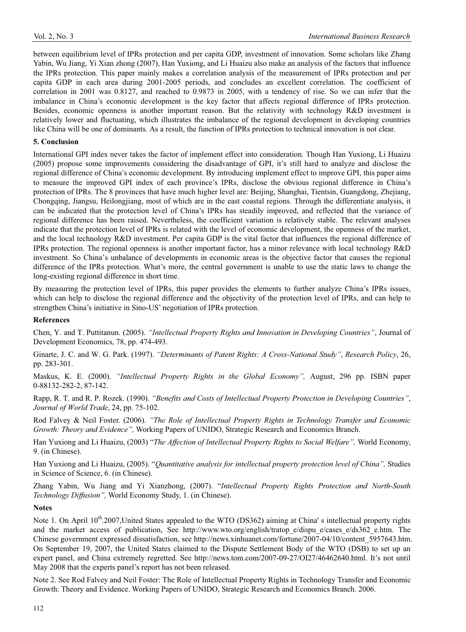between equilibrium level of IPRs protection and per capita GDP, investment of innovation. Some scholars like Zhang Yabin, Wu Jiang, Yi Xian zhong (2007), Han Yuxiong, and Li Huaizu also make an analysis of the factors that influence the IPRs protection. This paper mainly makes a correlation analysis of the measurement of IPRs protection and per capita GDP in each area during 2001-2005 periods, and concludes an excellent correlation. The coefficient of correlation in 2001 was 0.8127, and reached to 0.9873 in 2005, with a tendency of rise. So we can infer that the imbalance in China's economic development is the key factor that affects regional difference of IPRs protection. Besides, economic openness is another important reason. But the relativity with technology R&D investment is relatively lower and fluctuating, which illustrates the imbalance of the regional development in developing countries like China will be one of dominants. As a result, the function of IPRs protection to technical innovation is not clear.

## **5. Conclusion**

International GPI index never takes the factor of implement effect into consideration. Though Han Yuxiong, Li Huaizu (2005) propose some improvements considering the disadvantage of GPI, it's still hard to analyze and disclose the regional difference of China's economic development. By introducing implement effect to improve GPI, this paper aims to measure the improved GPI index of each province's IPRs, disclose the obvious regional difference in China's protection of IPRs. The 8 provinces that have much higher level are: Beijing, Shanghai, Tientsin, Guangdong, Zhejiang, Chongqing, Jiangsu, Heilongjiang, most of which are in the east coastal regions. Through the differentiate analysis, it can be indicated that the protection level of China's IPRs has steadily improved, and reflected that the variance of regional difference has been raised. Nevertheless, the coefficient variation is relatively stable. The relevant analyses indicate that the protection level of IPRs is related with the level of economic development, the openness of the market, and the local technology R&D investment. Per capita GDP is the vital factor that influences the regional difference of IPRs protection. The regional openness is another important factor, has a minor relevance with local technology R&D investment. So China's unbalance of developments in economic areas is the objective factor that causes the regional difference of the IPRs protection. What's more, the central government is unable to use the static laws to change the long-existing regional difference in short time.

By measuring the protection level of IPRs, this paper provides the elements to further analyze China's IPRs issues, which can help to disclose the regional difference and the objectivity of the protection level of IPRs, and can help to strengthen China's initiative in Sino-US' negotiation of IPRs protection.

# **References**

Chen, Y. and T. Puttitanun. (2005). *"Intellectual Property Rights and Innovation in Developing Countries"*, Journal of Development Economics, 78, pp. 474-493.

Ginarte, J. C. and W. G. Park. (1997). *"Determinants of Patent Rights: A Cross-National Study"*, *Research Policy*, 26, pp. 283-301.

Maskus, K. E. (2000). *"Intellectual Property Rights in the Global Economy",* August, 296 pp. ISBN paper 0-88132-282-2, 87-142.

Rapp, R. T. and R. P. Rozek. (1990). *"Benefits and Costs of Intellectual Property Protection in Developing Countries"*, *Journal of World Trade*, 24, pp. 75-102.

Rod Falvey & Neil Foster. (2006). *"The Role of Intellectual Property Rights in Technology Transfer and Economic Growth: Theory and Evidence",* Working Papers of UNIDO, Strategic Research and Economics Branch.

Han Yuxiong and Li Huaizu, (2003) "*The Affection of Intellectual Property Rights to Social Welfare",* World Economy, 9. (in Chinese).

Han Yuxiong and Li Huaizu, (2005). "*Quantitative analysis for intellectual property protection level of China",* Studies in Science of Science, 6. (in Chinese).

Zhang Yabin, Wu Jiang and Yi Xianzhong, (2007). "*Intellectual Property Rights Protection and North-South Technology Diffusion",* World Economy Study, 1. (in Chinese).

## **Notes**

Note 1. On April 10<sup>th</sup>.2007, United States appealed to the WTO (DS362) aiming at China' s intellectual property rights and the market access of publication, See http://www.wto.org/english/tratop e/dispu e/cases e/ds362 e.htm. The Chinese government expressed dissatisfaction, see http://news.xinhuanet.com/fortune/2007-04/10/content\_5957643.htm. On September 19, 2007, the United States claimed to the Dispute Settlement Body of the WTO (DSB) to set up an expert panel, and China extremely regretted. See http://news.tom.com/2007-09-27/OI27/46462640.html. It's not until May 2008 that the experts panel's report has not been released.

Note 2. See Rod Falvey and Neil Foster: The Role of Intellectual Property Rights in Technology Transfer and Economic Growth: Theory and Evidence. Working Papers of UNIDO, Strategic Research and Economics Branch. 2006.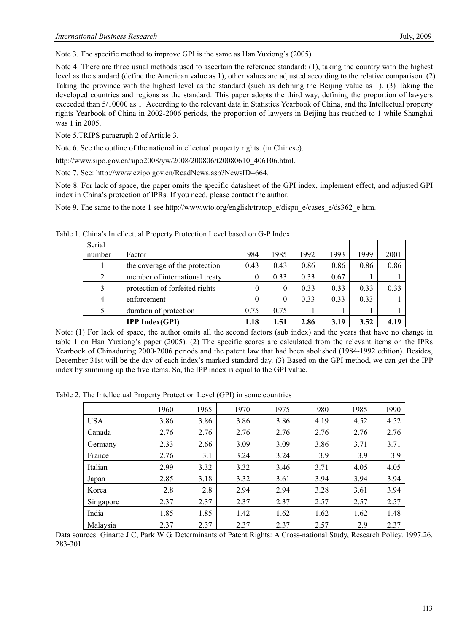Note 3. The specific method to improve GPI is the same as Han Yuxiong's (2005)

Note 4. There are three usual methods used to ascertain the reference standard: (1), taking the country with the highest level as the standard (define the American value as 1), other values are adjusted according to the relative comparison. (2) Taking the province with the highest level as the standard (such as defining the Beijing value as 1). (3) Taking the developed countries and regions as the standard. This paper adopts the third way, defining the proportion of lawyers exceeded than 5/10000 as 1. According to the relevant data in Statistics Yearbook of China, and the Intellectual property rights Yearbook of China in 2002-2006 periods, the proportion of lawyers in Beijing has reached to 1 while Shanghai was 1 in 2005.

Note 5.TRIPS paragraph 2 of Article 3.

Note 6. See the outline of the national intellectual property rights. (in Chinese).

http://www.sipo.gov.cn/sipo2008/yw/2008/200806/t20080610\_406106.html.

Note 7. See: http://www.czipo.gov.cn/ReadNews.asp?NewsID=664.

Note 8. For lack of space, the paper omits the specific datasheet of the GPI index, implement effect, and adjusted GPI index in China's protection of IPRs. If you need, please contact the author.

Note 9. The same to the note 1 see http://www.wto.org/english/tratop\_e/dispu\_e/cases\_e/ds362\_e.htm.

| Serial         |                                |      |      |      |      |      |      |
|----------------|--------------------------------|------|------|------|------|------|------|
| number         | Factor                         | 1984 | 1985 | 1992 | 1993 | 1999 | 2001 |
|                | the coverage of the protection | 0.43 | 0.43 | 0.86 | 0.86 | 0.86 | 0.86 |
| 2              | member of international treaty | 0    | 0.33 | 0.33 | 0.67 |      |      |
| 3              | protection of forfeited rights | 0    |      | 0.33 | 0.33 | 0.33 | 0.33 |
| $\overline{4}$ | enforcement                    | 0    |      | 0.33 | 0.33 | 0.33 |      |
| 5              | duration of protection         | 0.75 | 0.75 |      |      |      |      |
|                | <b>IPP Index(GPI)</b>          | 1.18 | 1.51 | 2.86 | 3.19 | 3.52 | 4.19 |

Table 1. China's Intellectual Property Protection Level based on G-P Index

Note: (1) For lack of space, the author omits all the second factors (sub index) and the years that have no change in table 1 on Han Yuxiong's paper (2005). (2) The specific scores are calculated from the relevant items on the IPRs Yearbook of Chinaduring 2000-2006 periods and the patent law that had been abolished (1984-1992 edition). Besides, December 31st will be the day of each index's marked standard day. (3) Based on the GPI method, we can get the IPP index by summing up the five items. So, the IPP index is equal to the GPI value.

Table 2. The Intellectual Property Protection Level (GPI) in some countries

|            | 1960 | 1965 | 1970 | 1975 | 1980 | 1985 | 1990 |
|------------|------|------|------|------|------|------|------|
| <b>USA</b> | 3.86 | 3.86 | 3.86 | 3.86 | 4.19 | 4.52 | 4.52 |
| Canada     | 2.76 | 2.76 | 2.76 | 2.76 | 2.76 | 2.76 | 2.76 |
| Germany    | 2.33 | 2.66 | 3.09 | 3.09 | 3.86 | 3.71 | 3.71 |
| France     | 2.76 | 3.1  | 3.24 | 3.24 | 3.9  | 3.9  | 3.9  |
| Italian    | 2.99 | 3.32 | 3.32 | 3.46 | 3.71 | 4.05 | 4.05 |
| Japan      | 2.85 | 3.18 | 3.32 | 3.61 | 3.94 | 3.94 | 3.94 |
| Korea      | 2.8  | 2.8  | 2.94 | 2.94 | 3.28 | 3.61 | 3.94 |
| Singapore  | 2.37 | 2.37 | 2.37 | 2.37 | 2.57 | 2.57 | 2.57 |
| India      | 1.85 | 1.85 | 1.42 | 1.62 | 1.62 | 1.62 | 1.48 |
| Malaysia   | 2.37 | 2.37 | 2.37 | 2.37 | 2.57 | 2.9  | 2.37 |

Data sources: Ginarte J C, Park W G, Determinants of Patent Rights: A Cross-national Study, Research Policy. 1997.26. 283-301